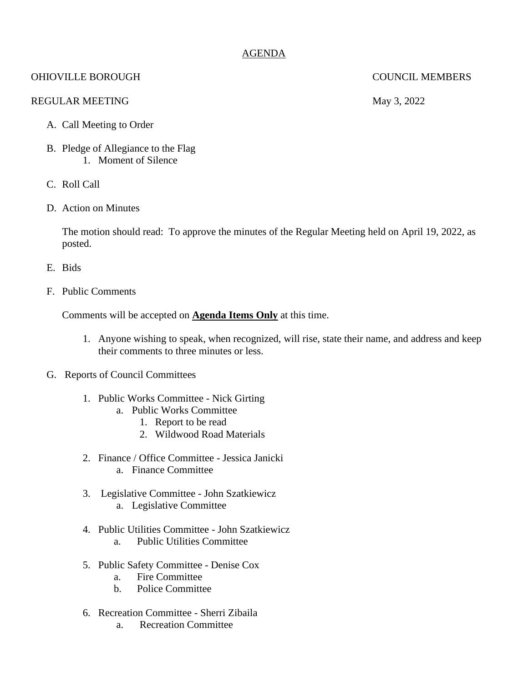# AGENDA

# OHIOVILLE BOROUGH COUNCIL MEMBERS

## REGULAR MEETING May 3, 2022

### A. Call Meeting to Order

- B. Pledge of Allegiance to the Flag 1. Moment of Silence
- C. Roll Call
- D. Action on Minutes

The motion should read: To approve the minutes of the Regular Meeting held on April 19, 2022, as posted.

- E. Bids
- F. Public Comments

Comments will be accepted on **Agenda Items Only** at this time.

- 1. Anyone wishing to speak, when recognized, will rise, state their name, and address and keep their comments to three minutes or less.
- G. Reports of Council Committees
	- 1. Public Works Committee Nick Girting
		- a. Public Works Committee
			- 1. Report to be read
			- 2. Wildwood Road Materials
	- 2. Finance / Office Committee Jessica Janicki
		- a. Finance Committee
	- 3. Legislative Committee John Szatkiewicz a. Legislative Committee
		-
	- 4. Public Utilities Committee John Szatkiewicz a. Public Utilities Committee
	- 5. Public Safety Committee Denise Cox
		- a. Fire Committee
		- b. Police Committee
	- 6. Recreation Committee Sherri Zibaila
		- a. Recreation Committee